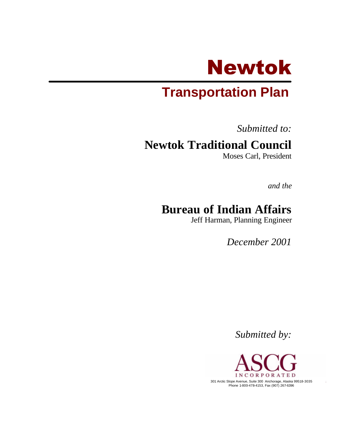

# **Transportation Plan**

*Submitted to:*

# **Newtok Traditional Council**

Moses Carl, President

*and the*

# **Bureau of Indian Affairs**

Jeff Harman, Planning Engineer

*December 2001*

*Submitted by:*

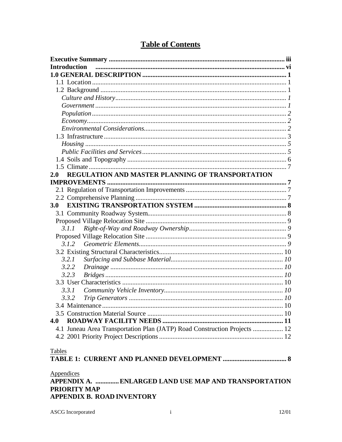| <b>Introduction</b>                                                       |  |
|---------------------------------------------------------------------------|--|
|                                                                           |  |
|                                                                           |  |
|                                                                           |  |
|                                                                           |  |
|                                                                           |  |
|                                                                           |  |
|                                                                           |  |
|                                                                           |  |
|                                                                           |  |
|                                                                           |  |
|                                                                           |  |
|                                                                           |  |
|                                                                           |  |
| REGULATION AND MASTER PLANNING OF TRANSPORTATION<br>2.0                   |  |
|                                                                           |  |
|                                                                           |  |
|                                                                           |  |
| <b>3.0</b>                                                                |  |
|                                                                           |  |
|                                                                           |  |
| 3.1.1                                                                     |  |
|                                                                           |  |
|                                                                           |  |
|                                                                           |  |
| 3.2.1                                                                     |  |
| 3.2.2                                                                     |  |
| 3.2.3                                                                     |  |
|                                                                           |  |
| 3.3.1                                                                     |  |
| 3.3.2                                                                     |  |
|                                                                           |  |
|                                                                           |  |
| 4.0                                                                       |  |
| 4.1 Juneau Area Transportation Plan (JATP) Road Construction Projects  12 |  |
|                                                                           |  |
|                                                                           |  |
| Tables                                                                    |  |
|                                                                           |  |
|                                                                           |  |
| Appendices                                                                |  |
| APPENDIX A. ENLARGED LAND USE MAP AND TRANSPORTATION                      |  |
| <b>PRIORITY MAP</b>                                                       |  |
| <b>APPENDIX B. ROAD INVENTORY</b>                                         |  |

# **Table of Contents**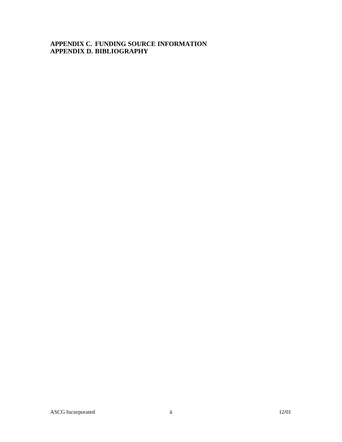#### **APPENDIX C. FUNDING SOURCE INFORMATION APPENDIX D. BIBLIOGRAPHY**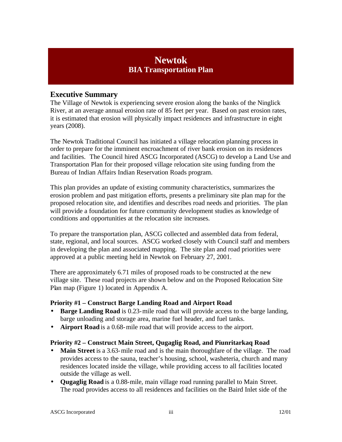# **Newtok BIA Transportation Plan**

## **Executive Summary**

The Village of Newtok is experiencing severe erosion along the banks of the Ninglick River, at an average annual erosion rate of 85 feet per year. Based on past erosion rates, it is estimated that erosion will physically impact residences and infrastructure in eight years (2008).

The Newtok Traditional Council has initiated a village relocation planning process in order to prepare for the imminent encroachment of river bank erosion on its residences and facilities. The Council hired ASCG Incorporated (ASCG) to develop a Land Use and Transportation Plan for their proposed village relocation site using funding from the Bureau of Indian Affairs Indian Reservation Roads program.

This plan provides an update of existing community characteristics, summarizes the erosion problem and past mitigation efforts, presents a preliminary site plan map for the proposed relocation site, and identifies and describes road needs and priorities. The plan will provide a foundation for future community development studies as knowledge of conditions and opportunities at the relocation site increases.

To prepare the transportation plan, ASCG collected and assembled data from federal, state, regional, and local sources. ASCG worked closely with Council staff and members in developing the plan and associated mapping. The site plan and road priorities were approved at a public meeting held in Newtok on February 27, 2001.

There are approximately 6.71 miles of proposed roads to be constructed at the new village site. These road projects are shown below and on the Proposed Relocation Site Plan map (Figure 1) located in Appendix A.

#### **Priority #1 – Construct Barge Landing Road and Airport Road**

- **Barge Landing Road** is 0.23-mile road that will provide access to the barge landing, barge unloading and storage area, marine fuel header, and fuel tanks.
- **Airport Road** is a 0.68-mile road that will provide access to the airport.

#### **Priority #2 – Construct Main Street, Qugaglig Road, and Piunritarkaq Road**

- **Main Street** is a 3.63-mile road and is the main thoroughfare of the village. The road provides access to the sauna, teacher's housing, school, washeteria, church and many residences located inside the village, while providing access to all facilities located outside the village as well.
- **Qugaglig Road** is a 0.88-mile, main village road running parallel to Main Street. The road provides access to all residences and facilities on the Baird Inlet side of the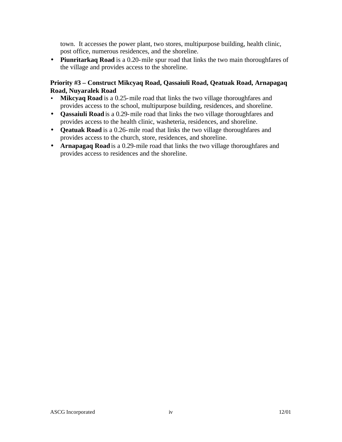town. It accesses the power plant, two stores, multipurpose building, health clinic, post office, numerous residences, and the shoreline.

• **Piunritarkaq Road** is a 0.20-mile spur road that links the two main thoroughfares of the village and provides access to the shoreline.

#### **Priority #3 – Construct Mikcyaq Road, Qassaiuli Road, Qeatuak Road, Arnapagaq Road, Nuyaralek Road**

- **Mikcyaq Road** is a 0.25-mile road that links the two village thoroughfares and provides access to the school, multipurpose building, residences, and shoreline.
- **Qassaiuli Road** is a 0.29-mile road that links the two village thoroughfares and provides access to the health clinic, washeteria, residences, and shoreline.
- **Qeatuak Road** is a 0.26-mile road that links the two village thoroughfares and provides access to the church, store, residences, and shoreline.
- **Arnapagaq Road** is a 0.29-mile road that links the two village thoroughfares and provides access to residences and the shoreline.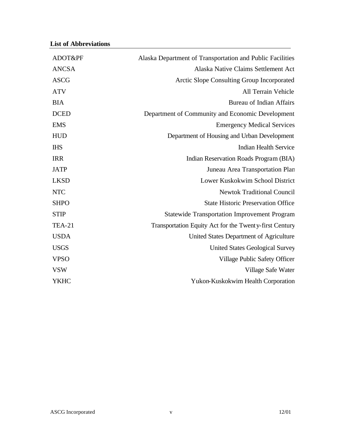| Alaska Department of Transportation and Public Facilities |
|-----------------------------------------------------------|
| Alaska Native Claims Settlement Act                       |
| Arctic Slope Consulting Group Incorporated                |
| All Terrain Vehicle                                       |
| <b>Bureau of Indian Affairs</b>                           |
| Department of Community and Economic Development          |
| <b>Emergency Medical Services</b>                         |
| Department of Housing and Urban Development               |
| <b>Indian Health Service</b>                              |
| Indian Reservation Roads Program (BIA)                    |
| Juneau Area Transportation Plan                           |
| Lower Kuskokwim School District                           |
| <b>Newtok Traditional Council</b>                         |
| <b>State Historic Preservation Office</b>                 |
| <b>Statewide Transportation Improvement Program</b>       |
| Transportation Equity Act for the Twenty-first Century    |
| United States Department of Agriculture                   |
| <b>United States Geological Survey</b>                    |
| Village Public Safety Officer                             |
| Village Safe Water                                        |
| Yukon-Kuskokwim Health Corporation                        |
|                                                           |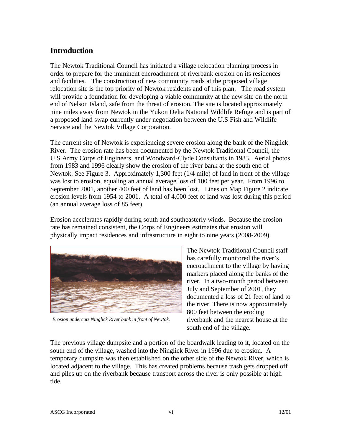## **Introduction**

The Newtok Traditional Council has initiated a village relocation planning process in order to prepare for the imminent encroachment of riverbank erosion on its residences and facilities. The construction of new community roads at the proposed village relocation site is the top priority of Newtok residents and of this plan. The road system will provide a foundation for developing a viable community at the new site on the north end of Nelson Island, safe from the threat of erosion. The site is located approximately nine miles away from Newtok in the Yukon Delta National Wildlife Refuge and is part of a proposed land swap currently under negotiation between the U.S Fish and Wildlife Service and the Newtok Village Corporation.

The current site of Newtok is experiencing severe erosion along the bank of the Ninglick River. The erosion rate has been documented by the Newtok Traditional Council, the U.S Army Corps of Engineers, and Woodward-Clyde Consultants in 1983. Aerial photos from 1983 and 1996 clearly show the erosion of the river bank at the south end of Newtok. See Figure 3. Approximately 1,300 feet (1/4 mile) of land in front of the village was lost to erosion, equaling an annual average loss of 100 feet per year. From 1996 to September 2001, another 400 feet of land has been lost. Lines on Map Figure 2 indicate erosion levels from 1954 to 2001. A total of 4,000 feet of land was lost during this period (an annual average loss of 85 feet).

Erosion accelerates rapidly during south and southeasterly winds. Because the erosion rate has remained consistent, the Corps of Engineers estimates that erosion will physically impact residences and infrastructure in eight to nine years (2008-2009).



*Erosion undercuts Ninglick River bank in front of Newtok.*

The Newtok Traditional Council staff has carefully monitored the river's encroachment to the village by having markers placed along the banks of the river. In a two-month period between July and September of 2001, they documented a loss of 21 feet of land to the river. There is now approximately 800 feet between the eroding riverbank and the nearest house at the south end of the village.

The previous village dumpsite and a portion of the boardwalk leading to it, located on the south end of the village, washed into the Ninglick River in 1996 due to erosion. A temporary dumpsite was then established on the other side of the Newtok River, which is located adjacent to the village. This has created problems because trash gets dropped off and piles up on the riverbank because transport across the river is only possible at high tide.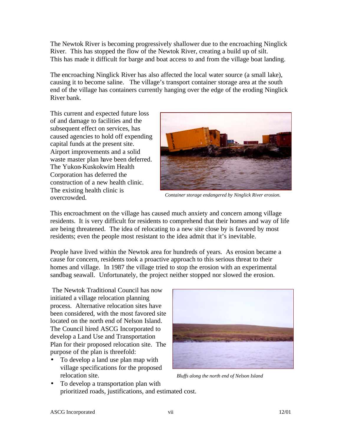The Newtok River is becoming progressively shallower due to the encroaching Ninglick River. This has stopped the flow of the Newtok River, creating a build up of silt. This has made it difficult for barge and boat access to and from the village boat landing.

The encroaching Ninglick River has also affected the local water source (a small lake), causing it to become saline. The village's transport container storage area at the south end of the village has containers currently hanging over the edge of the eroding Ninglick River bank.

This current and expected future loss of and damage to facilities and the subsequent effect on services, has caused agencies to hold off expending capital funds at the present site. Airport improvements and a solid waste master plan have been deferred. The Yukon-Kuskokwim Health Corporation has deferred the construction of a new health clinic. The existing health clinic is overcrowded.



*Container storage endangered by Ninglick River erosion.*

This encroachment on the village has caused much anxiety and concern among village residents. It is very difficult for residents to comprehend that their homes and way of life are being threatened. The idea of relocating to a new site close by is favored by most residents; even the people most resistant to the idea admit that it's inevitable.

People have lived within the Newtok area for hundreds of years. As erosion became a cause for concern, residents took a proactive approach to this serious threat to their homes and village. In 1987 the village tried to stop the erosion with an experimental sandbag seawall. Unfortunately, the project neither stopped nor slowed the erosion.

 The Newtok Traditional Council has now initiated a village relocation planning process. Alternative relocation sites have been considered, with the most favored site located on the north end of Nelson Island. The Council hired ASCG Incorporated to develop a Land Use and Transportation Plan for their proposed relocation site. The purpose of the plan is threefold:

• To develop a land use plan map with village specifications for the proposed relocation site.



*Bluffs along the north end of Nelson Island*

• To develop a transportation plan with prioritized roads, justifications, and estimated cost.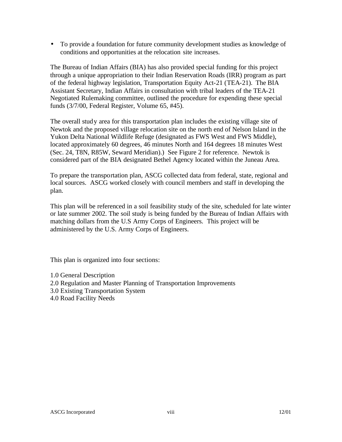• To provide a foundation for future community development studies as knowledge of conditions and opportunities at the relocation site increases.

The Bureau of Indian Affairs (BIA) has also provided special funding for this project through a unique appropriation to their Indian Reservation Roads (IRR) program as part of the federal highway legislation, Transportation Equity Act-21 (TEA-21). The BIA Assistant Secretary, Indian Affairs in consultation with tribal leaders of the TEA-21 Negotiated Rulemaking committee, outlined the procedure for expending these special funds (3/7/00, Federal Register, Volume 65, #45).

The overall study area for this transportation plan includes the existing village site of Newtok and the proposed village relocation site on the north end of Nelson Island in the Yukon Delta National Wildlife Refuge (designated as FWS West and FWS Middle), located approximately 60 degrees, 46 minutes North and 164 degrees 18 minutes West (Sec. 24, T8N, R85W, Seward Meridian).) See Figure 2 for reference. Newtok is considered part of the BIA designated Bethel Agency located within the Juneau Area.

To prepare the transportation plan, ASCG collected data from federal, state, regional and local sources. ASCG worked closely with council members and staff in developing the plan.

This plan will be referenced in a soil feasibility study of the site, scheduled for late winter or late summer 2002. The soil study is being funded by the Bureau of Indian Affairs with matching dollars from the U.S Army Corps of Engineers. This project will be administered by the U.S. Army Corps of Engineers.

This plan is organized into four sections:

- 1.0 General Description
- 2.0 Regulation and Master Planning of Transportation Improvements
- 3.0 Existing Transportation System
- 4.0 Road Facility Needs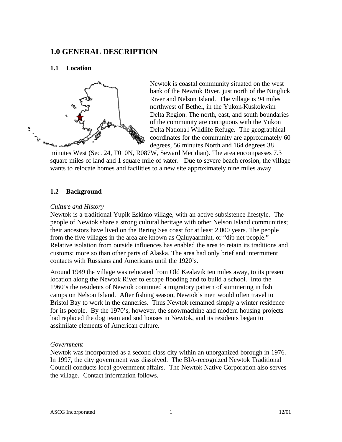## **1.0 GENERAL DESCRIPTION**

#### **1.1 Location**



Newtok is coastal community situated on the west bank of the Newtok River, just north of the Ninglick River and Nelson Island. The village is 94 miles northwest of Bethel, in the Yukon-Kuskokwim Delta Region. The north, east, and south boundaries of the community are contiguous with the Yukon Delta Nationa l Wildlife Refuge. The geographical coordinates for the community are approximately 60 degrees, 56 minutes North and 164 degrees 38

minutes West (Sec. 24, T010N, R087W, Seward Meridian). The area encompasses 7.3 square miles of land and 1 square mile of water. Due to severe beach erosion, the village wants to relocate homes and facilities to a new site approximately nine miles away.

#### **1.2 Background**

#### *Culture and History*

Newtok is a traditional Yupik Eskimo village, with an active subsistence lifestyle. The people of Newtok share a strong cultural heritage with other Nelson Island communities; their ancestors have lived on the Bering Sea coast for at least 2,000 years. The people from the five villages in the area are known as Qaluyaarmiut, or "dip net people." Relative isolation from outside influences has enabled the area to retain its traditions and customs; more so than other parts of Alaska. The area had only brief and intermittent contacts with Russians and Americans until the 1920's.

Around 1949 the village was relocated from Old Kealavik ten miles away, to its present location along the Newtok River to escape flooding and to build a school. Into the 1960's the residents of Newtok continued a migratory pattern of summering in fish camps on Nelson Island. After fishing season, Newtok's men would often travel to Bristol Bay to work in the canneries. Thus Newtok remained simply a winter residence for its people. By the 1970's, however, the snowmachine and modern housing projects had replaced the dog team and sod houses in Newtok, and its residents began to assimilate elements of American culture.

#### *Government*

Newtok was incorporated as a second class city within an unorganized borough in 1976. In 1997, the city government was dissolved. The BIA-recognized Newtok Traditional Council conducts local government affairs. The Newtok Native Corporation also serves the village. Contact information follows.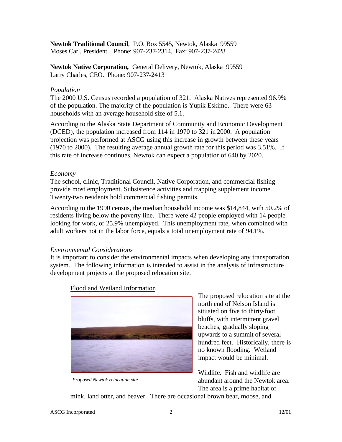**Newtok Traditional Council**, P.O. Box 5545, Newtok, Alaska 99559 Moses Carl, President. Phone: 907-237-2314, Fax: 907-237-2428

**Newtok Native Corporation,** General Delivery, Newtok, Alaska 99559 Larry Charles, CEO. Phone: 907-237-2413

#### *Population*

The 2000 U.S. Census recorded a population of 321. Alaska Natives represented 96.9% of the population. The majority of the population is Yupik Eskimo. There were 63 households with an average household size of 5.1.

According to the Alaska State Department of Community and Economic Development (DCED), the population increased from 114 in 1970 to 321 in 2000. A population projection was performed at ASCG using this increase in growth between these years (1970 to 2000). The resulting average annual growth rate for this period was 3.51%. If this rate of increase continues, Newtok can expect a population of 640 by 2020.

#### *Economy*

The school, clinic, Traditional Council, Native Corporation, and commercial fishing provide most employment. Subsistence activities and trapping supplement income. Twenty-two residents hold commercial fishing permits.

According to the 1990 census, the median household income was \$14,844, with 50.2% of residents living below the poverty line. There were 42 people employed with 14 people looking for work, or 25.9% unemployed. This unemployment rate, when combined with adult workers not in the labor force, equals a total unemployment rate of 94.1%.

#### *Environmental Considerations*

It is important to consider the environmental impacts when developing any transportation system. The following information is intended to assist in the analysis of infrastructure development projects at the proposed relocation site.



Flood and Wetland Information.

*Proposed Newtok relocation site.*

The proposed relocation site at the north end of Nelson Island is situated on five to thirty-foot bluffs, with intermittent gravel beaches, gradually sloping upwards to a summit of several hundred feet. Historically, there is no known flooding. Wetland impact would be minimal.

Wildlife*.* Fish and wildlife are abundant around the Newtok area. The area is a prime habitat of

mink, land otter, and beaver. There are occasional brown bear, moose, and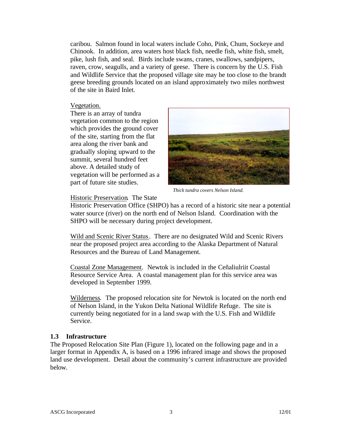caribou. Salmon found in local waters include Coho, Pink, Chum, Sockeye and Chinook. In addition, area waters host black fish, needle fish, white fish, smelt, pike, lush fish, and seal. Birds include swans, cranes, swallows, sandpipers, raven, crow, seagulls, and a variety of geese. There is concern by the U.S. Fish and Wildlife Service that the proposed village site may be too close to the brandt geese breeding grounds located on an island approximately two miles northwest of the site in Baird Inlet.

#### Vegetation.

There is an array of tundra vegetation common to the region which provides the ground cover of the site, starting from the flat area along the river bank and gradually sloping upward to the summit, several hundred feet above. A detailed study of vegetation will be performed as a part of future site studies.



*Thick tundra covers Nelson Island.*

#### Historic Preservation. The State

Historic Preservation Office (SHPO) has a record of a historic site near a potential water source (river) on the north end of Nelson Island. Coordination with the SHPO will be necessary during project development.

Wild and Scenic River Status. There are no designated Wild and Scenic Rivers near the proposed project area according to the Alaska Department of Natural Resources and the Bureau of Land Management.

Coastal Zone Management*.* Newtok is included in the Ceñaliulriit Coastal Resource Service Area. A coastal management plan for this service area was developed in September 1999.

Wilderness*.* The proposed relocation site for Newtok is located on the north end of Nelson Island, in the Yukon Delta National Wildlife Refuge. The site is currently being negotiated for in a land swap with the U.S. Fish and Wildlife Service.

#### **1.3 Infrastructure**

The Proposed Relocation Site Plan (Figure 1), located on the following page and in a larger format in Appendix A, is based on a 1996 infrared image and shows the proposed land use development. Detail about the community's current infrastructure are provided below.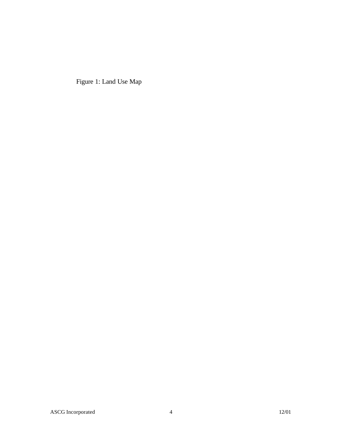Figure 1: Land Use Map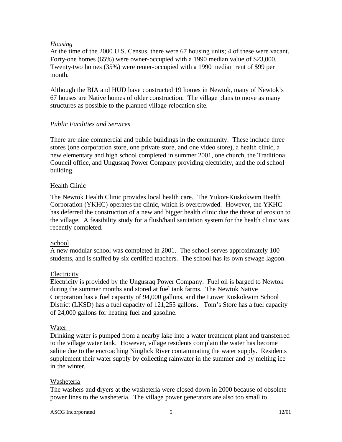#### *Housing*

At the time of the 2000 U.S. Census, there were 67 housing units; 4 of these were vacant. Forty-one homes (65%) were owner-occupied with a 1990 median value of \$23,000. Twenty-two homes (35%) were renter-occupied with a 1990 median rent of \$99 per month.

Although the BIA and HUD have constructed 19 homes in Newtok, many of Newtok's 67 houses are Native homes of older construction. The village plans to move as many structures as possible to the planned village relocation site.

#### *Public Facilities and Services*

There are nine commercial and public buildings in the community. These include three stores (one corporation store, one private store, and one video store), a health clinic, a new elementary and high school completed in summer 2001, one church, the Traditional Council office, and Ungusraq Power Company providing electricity, and the old school building.

#### Health Clinic

The Newtok Health Clinic provides local health care. The Yukon-Kuskokwim Health Corporation (YKHC) operates the clinic, which is overcrowded. However, the YKHC has deferred the construction of a new and bigger health clinic due the threat of erosion to the village. A feasibility study for a flush/haul sanitation system for the health clinic was recently completed.

#### School

A new modular school was completed in 2001. The school serves approximately 100 students, and is staffed by six certified teachers. The school has its own sewage lagoon.

## **Electricity**

Electricity is provided by the Ungusraq Power Company. Fuel oil is barged to Newtok during the summer months and stored at fuel tank farms. The Newtok Native Corporation has a fuel capacity of 94,000 gallons, and the Lower Kuskokwim School District (LKSD) has a fuel capacity of 121,255 gallons. Tom's Store has a fuel capacity of 24,000 gallons for heating fuel and gasoline.

#### Water

Drinking water is pumped from a nearby lake into a water treatment plant and transferred to the village water tank. However, village residents complain the water has become saline due to the encroaching Ninglick River contaminating the water supply. Residents supplement their water supply by collecting rainwater in the summer and by melting ice in the winter.

#### Washeteria

The washers and dryers at the washeteria were closed down in 2000 because of obsolete power lines to the washeteria. The village power generators are also too small to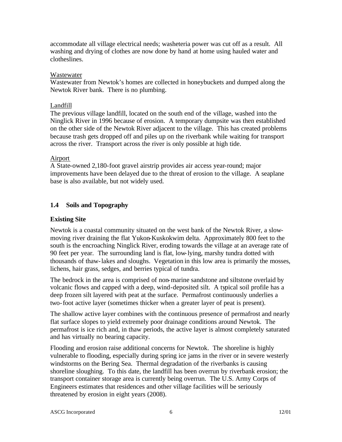accommodate all village electrical needs; washeteria power was cut off as a result. All washing and drying of clothes are now done by hand at home using hauled water and clotheslines.

#### Wastewater

Wastewater from Newtok's homes are collected in honeybuckets and dumped along the Newtok River bank. There is no plumbing.

#### Landfill

The previous village landfill, located on the south end of the village, washed into the Ninglick River in 1996 because of erosion. A temporary dumpsite was then established on the other side of the Newtok River adjacent to the village. This has created problems because trash gets dropped off and piles up on the riverbank while waiting for transport across the river. Transport across the river is only possible at high tide.

#### Airport

A State-owned 2,180-foot gravel airstrip provides air access year-round; major improvements have been delayed due to the threat of erosion to the village. A seaplane base is also available, but not widely used.

### **1.4 Soils and Topography**

#### **Existing Site**

Newtok is a coastal community situated on the west bank of the Newtok River, a slowmoving river draining the flat Yukon-Kuskokwim delta. Approximately 800 feet to the south is the encroaching Ninglick River, eroding towards the village at an average rate of 90 feet per year. The surrounding land is flat, low-lying, marshy tundra dotted with thousands of thaw-lakes and sloughs. Vegetation in this low area is primarily the mosses, lichens, hair grass, sedges, and berries typical of tundra.

The bedrock in the area is comprised of non-marine sandstone and siltstone overlaid by volcanic flows and capped with a deep, wind-deposited silt. A typical soil profile has a deep frozen silt layered with peat at the surface. Permafrost continuously underlies a two-foot active layer (sometimes thicker when a greater layer of peat is present).

The shallow active layer combines with the continuous presence of permafrost and nearly flat surface slopes to yield extremely poor drainage conditions around Newtok. The permafrost is ice rich and, in thaw periods, the active layer is almost completely saturated and has virtually no bearing capacity.

Flooding and erosion raise additional concerns for Newtok. The shoreline is highly vulnerable to flooding, especially during spring ice jams in the river or in severe westerly windstorms on the Bering Sea. Thermal degradation of the riverbanks is causing shoreline sloughing. To this date, the landfill has been overrun by riverbank erosion; the transport container storage area is currently being overrun. The U.S. Army Corps of Engineers estimates that residences and other village facilities will be seriously threatened by erosion in eight years (2008).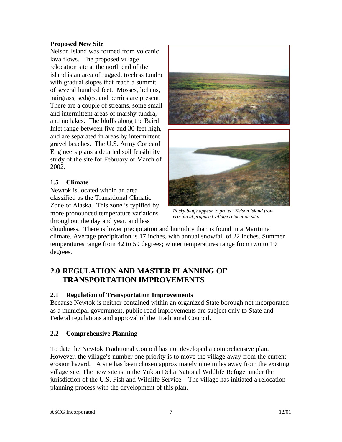#### **Proposed New Site**

Nelson Island was formed from volcanic lava flows. The proposed village relocation site at the north end of the island is an area of rugged, treeless tundra with gradual slopes that reach a summit of several hundred feet. Mosses, lichens, hairgrass, sedges, and berries are present. There are a couple of streams, some small and intermittent areas of marshy tundra, and no lakes. The bluffs along the Baird Inlet range between five and 30 feet high, and are separated in areas by intermittent gravel beaches. The U.S. Army Corps of Engineers plans a detailed soil feasibility study of the site for February or March of 2002.

### **1.5 Climate**

Newtok is located within an area classified as the Transitional Climatic Zone of Alaska. This zone is typified by more pronounced temperature variations throughout the day and year, and less



*Rocky bluffs appear to protect Nelson Island from erosion at proposed village relocation site.*

cloudiness. There is lower precipitation and humidity than is found in a Maritime climate. Average precipitation is 17 inches, with annual snowfall of 22 inches. Summer temperatures range from 42 to 59 degrees; winter temperatures range from two to 19 degrees.

## **2.0 REGULATION AND MASTER PLANNING OF TRANSPORTATION IMPROVEMENTS**

#### **2.1 Regulation of Transportation Improvements**

Because Newtok is neither contained within an organized State borough not incorporated as a municipal government, public road improvements are subject only to State and Federal regulations and approval of the Traditional Council.

## **2.2 Comprehensive Planning**

To date the Newtok Traditional Council has not developed a comprehensive plan. However, the village's number one priority is to move the village away from the current erosion hazard. A site has been chosen approximately nine miles away from the existing village site. The new site is in the Yukon Delta National Wildlife Refuge, under the jurisdiction of the U.S. Fish and Wildlife Service. The village has initiated a relocation planning process with the development of this plan.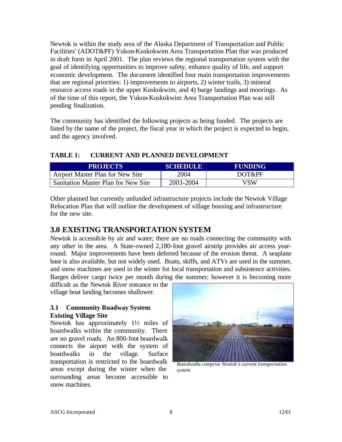Newtok is within the study area of the Alaska Department of Transportation and Public Facilities' (ADOT&PF) Yukon-Kuskokwim Area Transportation Plan that was produced in draft form in April 2001. The plan reviews the regional transportation system with the goal of identifying opportunities to improve safety, enhance quality of life, and support economic development. The document identified four main transportation improvements that are regional priorities: 1) improvements to airports, 2) winter trails, 3) mineral resource access roads in the upper Kuskokwim, and 4) barge landings and moorings. As of the time of this report, the Yukon-Kuskokwim Area Transportation Plan was still pending finalization.

The community has identified the following projects as being funded. The projects are listed by the name of the project, the fiscal year in which the project is expected to begin, and the agency involved.

#### **TABLE 1: CURRENT AND PLANNED DEVELOPMENT**

| <b>PROJECTS</b>                     | <b>SCHEDULE</b> | <b>FUNDING</b> |
|-------------------------------------|-----------------|----------------|
| Airport Master Plan for New Site    | 2004            | DOT&PF         |
| Sanitation Master Plan for New Site | 2003-2004       | VSW            |

Other planned but currently unfunded infrastructure projects include the Newtok Village Relocation Plan that will outline the development of village housing and infrastructure for the new site.

## **3.0 EXISTING TRANSPORTATION SYSTEM**

Newtok is accessible by air and water; there are no roads connecting the community with any other in the area. A State-owned 2,180-foot gravel airstrip provides air access yearround. Major improvements have been deferred because of the erosion threat. A seaplane base is also available, but not widely used. Boats, skiffs, and ATVs are used in the summer, and snow machines are used in the winter for local transportation and subsistence activities. Barges deliver cargo twice per month during the summer; however it is becoming more

difficult as the Newtok River entrance to the village boat landing becomes shallower.

#### **3.1 Community Roadway System Existing Village Site**

Newtok has approximately 1½ miles of boardwalks within the community. There are no gravel roads. An 800-foot boardwalk connects the airport with the system of boardwalks in the village. Surface transportation is restricted to the boardwalk areas except during the winter when the surrounding areas become accessible to snow machines.



*Boardwalks comprise Newtok's current transportation system.*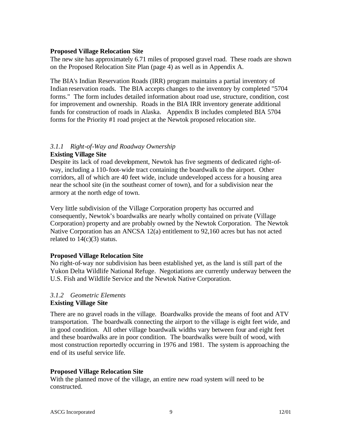#### **Proposed Village Relocation Site**

The new site has approximately 6.71 miles of proposed gravel road. These roads are shown on the Proposed Relocation Site Plan (page 4) as well as in Appendix A.

The BIA's Indian Reservation Roads (IRR) program maintains a partial inventory of Indian reservation roads. The BIA accepts changes to the inventory by completed "5704 forms." The form includes detailed information about road use, structure, condition, cost for improvement and ownership. Roads in the BIA IRR inventory generate additional funds for construction of roads in Alaska. Appendix B includes completed BIA 5704 forms for the Priority #1 road project at the Newtok proposed relocation site.

## *3.1.1 Right-of-Way and Roadway Ownership*

#### **Existing Village Site**

Despite its lack of road development, Newtok has five segments of dedicated right-ofway, including a 110-foot-wide tract containing the boardwalk to the airport. Other corridors, all of which are 40 feet wide, include undeveloped access for a housing area near the school site (in the southeast corner of town), and for a subdivision near the armory at the north edge of town.

Very little subdivision of the Village Corporation property has occurred and consequently, Newtok's boardwalks are nearly wholly contained on private (Village Corporation) property and are probably owned by the Newtok Corporation. The Newtok Native Corporation has an ANCSA 12(a) entitlement to 92,160 acres but has not acted related to  $14(c)(3)$  status.

#### **Proposed Village Relocation Site**

No right-of-way nor subdivision has been established yet, as the land is still part of the Yukon Delta Wildlife National Refuge. Negotiations are currently underway between the U.S. Fish and Wildlife Service and the Newtok Native Corporation.

#### *3.1.2 Geometric Elements* **Existing Village Site**

There are no gravel roads in the village. Boardwalks provide the means of foot and ATV transportation. The boardwalk connecting the airport to the village is eight feet wide, and in good condition. All other village boardwalk widths vary between four and eight feet and these boardwalks are in poor condition. The boardwalks were built of wood, with most construction reportedly occurring in 1976 and 1981. The system is approaching the end of its useful service life.

#### **Proposed Village Relocation Site**

With the planned move of the village, an entire new road system will need to be constructed.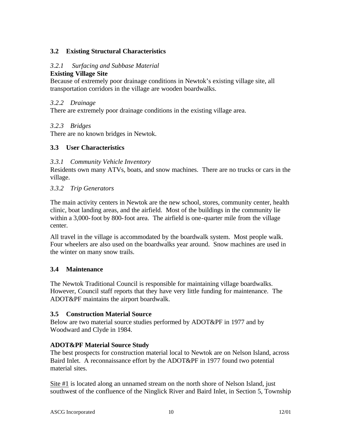### **3.2 Existing Structural Characteristics**

#### *3.2.1 Surfacing and Subbase Material*

#### **Existing Village Site**

Because of extremely poor drainage conditions in Newtok's existing village site, all transportation corridors in the village are wooden boardwalks.

#### *3.2.2 Drainage*

There are extremely poor drainage conditions in the existing village area.

#### *3.2.3 Bridges*

There are no known bridges in Newtok.

#### **3.3 User Characteristics**

#### *3.3.1 Community Vehicle Inventory*

Residents own many ATVs, boats, and snow machines. There are no trucks or cars in the village.

#### *3.3.2 Trip Generators*

The main activity centers in Newtok are the new school, stores, community center, health clinic, boat landing areas, and the airfield. Most of the buildings in the community lie within a 3,000-foot by 800-foot area. The airfield is one-quarter mile from the village center.

All travel in the village is accommodated by the boardwalk system. Most people walk. Four wheelers are also used on the boardwalks year around. Snow machines are used in the winter on many snow trails.

#### **3.4 Maintenance**

The Newtok Traditional Council is responsible for maintaining village boardwalks. However, Council staff reports that they have very little funding for maintenance. The ADOT&PF maintains the airport boardwalk.

#### **3.5 Construction Material Source**

Below are two material source studies performed by ADOT&PF in 1977 and by Woodward and Clyde in 1984.

#### **ADOT&PF Material Source Study**

The best prospects for construction material local to Newtok are on Nelson Island, across Baird Inlet. A reconnaissance effort by the ADOT&PF in 1977 found two potential material sites.

Site #1 is located along an unnamed stream on the north shore of Nelson Island, just southwest of the confluence of the Ninglick River and Baird Inlet, in Section 5, Township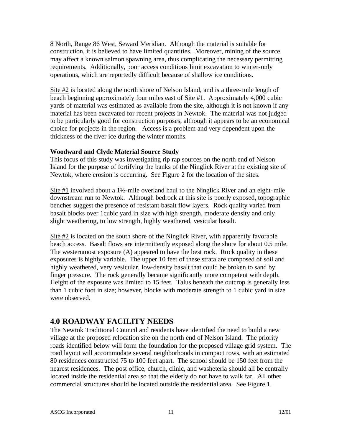8 North, Range 86 West, Seward Meridian. Although the material is suitable for construction, it is believed to have limited quantities. Moreover, mining of the source may affect a known salmon spawning area, thus complicating the necessary permitting requirements. Additionally, poor access conditions limit excavation to winter-only operations, which are reportedly difficult because of shallow ice conditions.

Site #2 is located along the north shore of Nelson Island, and is a three-mile length of beach beginning approximately four miles east of Site #1. Approximately 4,000 cubic yards of material was estimated as available from the site, although it is not known if any material has been excavated for recent projects in Newtok. The material was not judged to be particularly good for construction purposes, although it appears to be an economical choice for projects in the region. Access is a problem and very dependent upon the thickness of the river ice during the winter months.

#### **Woodward and Clyde Material Source Study**

This focus of this study was investigating rip rap sources on the north end of Nelson Island for the purpose of fortifying the banks of the Ninglick River at the existing site of Newtok, where erosion is occurring. See Figure 2 for the location of the sites.

Site  $#1$  involved about a 1½-mile overland haul to the Ninglick River and an eight-mile downstream run to Newtok. Although bedrock at this site is poorly exposed, topographic benches suggest the presence of resistant basalt flow layers. Rock quality varied from basalt blocks over 1cubic yard in size with high strength, moderate density and only slight weathering, to low strength, highly weathered, vesicular basalt.

Site #2 is located on the south shore of the Ninglick River, with apparently favorable beach access. Basalt flows are intermittently exposed along the shore for about 0.5 mile. The westernmost exposure (A) appeared to have the best rock. Rock quality in these exposures is highly variable. The upper 10 feet of these strata are composed of soil and highly weathered, very vesicular, low-density basalt that could be broken to sand by finger pressure. The rock generally became significantly more competent with depth. Height of the exposure was limited to 15 feet. Talus beneath the outcrop is generally less than 1 cubic foot in size; however, blocks with moderate strength to 1 cubic yard in size were observed.

## **4.0 ROADWAY FACILITY NEEDS**

The Newtok Traditional Council and residents have identified the need to build a new village at the proposed relocation site on the north end of Nelson Island. The priority roads identified below will form the foundation for the proposed village grid system. The road layout will accommodate several neighborhoods in compact rows, with an estimated 80 residences constructed 75 to 100 feet apart. The school should be 150 feet from the nearest residences. The post office, church, clinic, and washeteria should all be centrally located inside the residential area so that the elderly do not have to walk far. All other commercial structures should be located outside the residential area. See Figure 1.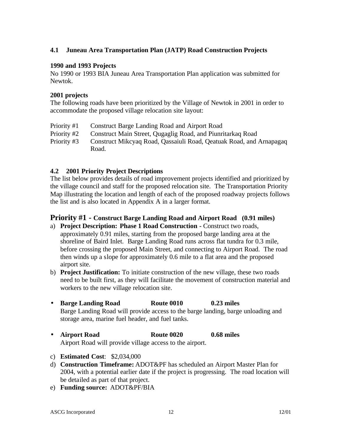#### **4.1 Juneau Area Transportation Plan (JATP) Road Construction Projects**

#### **1990 and 1993 Projects**

No 1990 or 1993 BIA Juneau Area Transportation Plan application was submitted for Newtok.

#### **2001 projects**

The following roads have been prioritized by the Village of Newtok in 2001 in order to accommodate the proposed village relocation site layout:

- Priority #1 Construct Barge Landing Road and Airport Road
- Priority #2 Construct Main Street, Qugaglig Road, and Piunritarkaq Road
- Priority #3 Construct Mikcyaq Road, Qassaiuli Road, Qeatuak Road, and Arnapagaq Road.

#### **4.2 2001 Priority Project Descriptions**

The list below provides details of road improvement projects identified and prioritized by the village council and staff for the proposed relocation site. The Transportation Priority Map illustrating the location and length of each of the proposed roadway projects follows the list and is also located in Appendix A in a larger format.

#### **Priority #1 - Construct Barge Landing Road and Airport Road (0.91 miles)**

- a) **Project Description: Phase 1 Road Construction -** Construct two roads, approximately 0.91 miles, starting from the proposed barge landing area at the shoreline of Baird Inlet. Barge Landing Road runs across flat tundra for 0.3 mile, before crossing the proposed Main Street, and connecting to Airport Road. The road then winds up a slope for approximately 0.6 mile to a flat area and the proposed airport site.
- b) **Project Justification:** To initiate construction of the new village, these two roads need to be built first, as they will facilitate the movement of construction material and workers to the new village relocation site.
- **Barge Landing Road Route 0010 0.23 miles** Barge Landing Road will provide access to the barge landing, barge unloading and storage area, marine fuel header, and fuel tanks.
- **Airport Road Route 0020 0.68 miles** Airport Road will provide village access to the airport.
- c) **Estimated Cost**: \$2,034,000
- d) **Construction Timeframe:** ADOT&PF has scheduled an Airport Master Plan for 2004, with a potential earlier date if the project is progressing. The road location will be detailed as part of that project.
- e) **Funding source:** ADOT&PF/BIA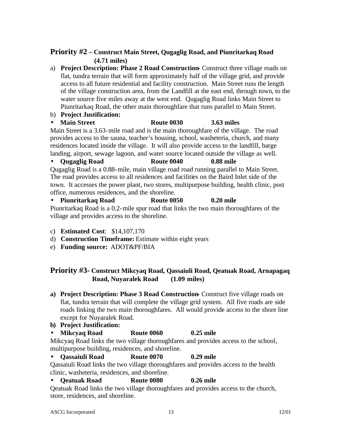## **Priority #2 – Construct Main Street, Qugaglig Road, and Piunritarkaq Road (4.71 miles)**

a) **Project Description: Phase 2 Road Construction-** Construct three village roads on flat, tundra terrain that will form approximately half of the village grid, and provide access to all future residential and facility construction. Main Street runs the length of the village construction area, from the Landfill at the east end, through town, to the water source five miles away at the west end. Qugaglig Road links Main Street to Piunritarkaq Road, the other main thoroughfare that runs parallel to Main Street.

- b) **Project Justification:**
- **Main Street Route 0030 3.63 miles**

Main Street is a 3.63-mile road and is the main thoroughfare of the village. The road provides access to the sauna, teacher's housing, school, washeteria, church, and many residences located inside the village. It will also provide access to the landfill, barge landing, airport, sewage lagoon, and water source located outside the village as well.

#### • **Qugaglig Road Route 0040 0.88 mile**

Qugaglig Road is a 0.88-mile, main village road road running parallel to Main Street. The road provides access to all residences and facilities on the Baird Inlet side of the town. It accesses the power plant, two stores, multipurpose building, health clinic, post office, numerous residences, and the shoreline.

• **Piunritarkaq Road Route 0050 0.20 mile** Piunritarkaq Road is a 0.2-mile spur road that links the two main thoroughfares of the village and provides access to the shoreline.

- c) **Estimated Cost**: \$14,107,170
- d) **Construction Timeframe:** Estimate within eight years
- e) **Funding source:** ADOT&PF/BIA

## **Priority #3- Construct Mikcyaq Road, Qassaiuli Road, Qeatuak Road, Arnapagaq Road, Nuyaralek Road (1.09 miles)**

- **a) Project Description: Phase 3 Road Construction-** Construct five village roads on flat, tundra terrain that will complete the village grid system. All five roads are side roads linking the two main thoroughfares. All would provide access to the shore line except for Nuyaralek Road.
- **b) Project Justification:**
- **Mikcyaq Road Route 0060 0.25 mile**

Mikcyaq Road links the two village thoroughfares and provides access to the school, multipurpose building, residences, and shoreline.

#### • **Qassaiuli Road Route 0070 0.29 mile**

Qassaiuli Road links the two village thoroughfares and provides access to the health clinic, washeteria, residences, and shoreline.

#### • **Qeatuak Road Route 0080 0.26 mile**

Qeatuak Road links the two village thoroughfares and provides access to the church, store, residences, and shoreline.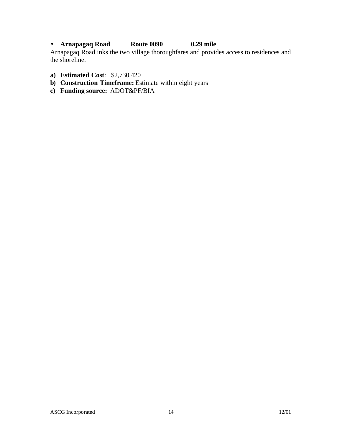## • **Arnapagaq Road Route 0090 0.29 mile**

Arnapagaq Road inks the two village thoroughfares and provides access to residences and the shoreline.

- **a) Estimated Cost**: \$2,730,420
- **b) Construction Timeframe:** Estimate within eight years
- **c) Funding source:** ADOT&PF/BIA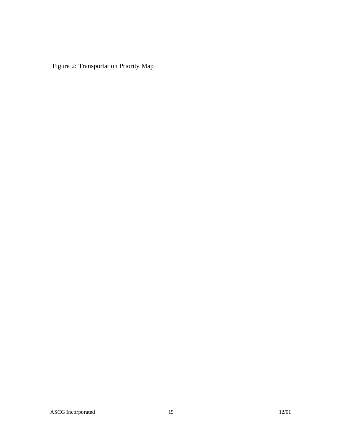Figure 2: Transportation Priority Map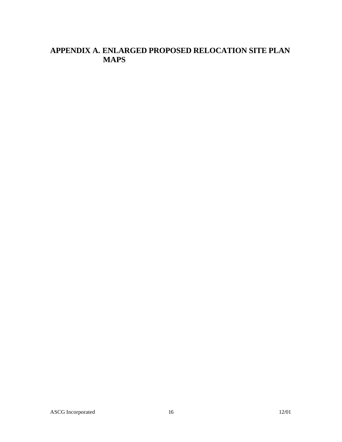# **APPENDIX A. ENLARGED PROPOSED RELOCATION SITE PLAN MAPS**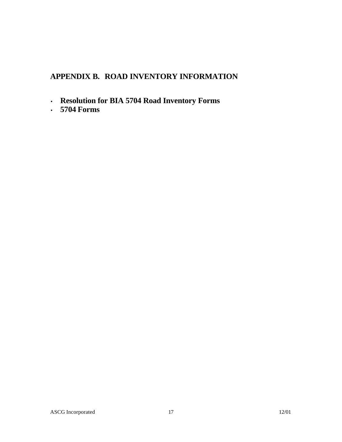# **APPENDIX B. ROAD INVENTORY INFORMATION**

- **Resolution for BIA 5704 Road Inventory Forms**
- **5704 Forms**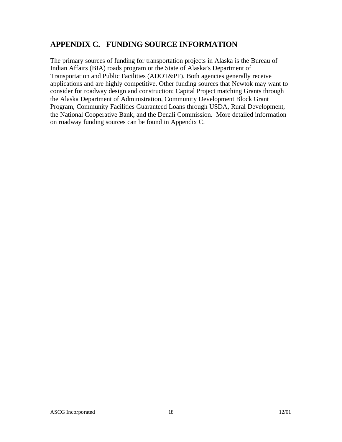## **APPENDIX C. FUNDING SOURCE INFORMATION**

The primary sources of funding for transportation projects in Alaska is the Bureau of Indian Affairs (BIA) roads program or the State of Alaska's Department of Transportation and Public Facilities (ADOT&PF). Both agencies generally receive applications and are highly competitive. Other funding sources that Newtok may want to consider for roadway design and construction; Capital Project matching Grants through the Alaska Department of Administration, Community Development Block Grant Program, Community Facilities Guaranteed Loans through USDA, Rural Development, the National Cooperative Bank, and the Denali Commission. More detailed information on roadway funding sources can be found in Appendix C.